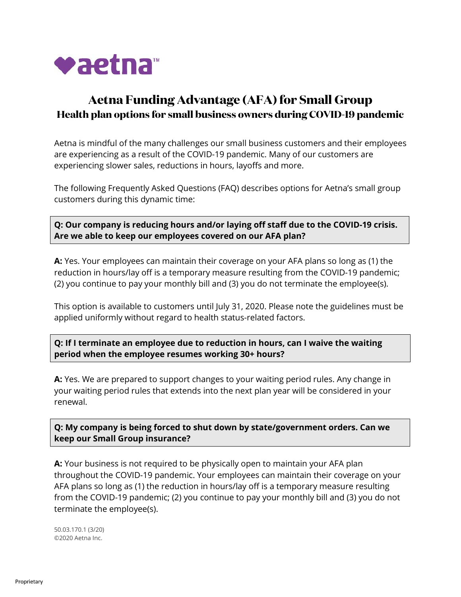

# **Aetna Funding Advantage (AFA) for Small Group Health plan options for small business owners during COVID-19 pandemic**

Aetna is mindful of the many challenges our small business customers and their employees are experiencing as a result of the COVID-19 pandemic. Many of our customers are experiencing slower sales, reductions in hours, layoffs and more.

The following Frequently Asked Questions (FAQ) describes options for Aetna's small group customers during this dynamic time:

**Q: Our company is reducing hours and/or laying off staff due to the COVID-19 crisis. Are we able to keep our employees covered on our AFA plan?**

**A:** Yes. Your employees can maintain their coverage on your AFA plans so long as (1) the reduction in hours/lay off is a temporary measure resulting from the COVID-19 pandemic; (2) you continue to pay your monthly bill and (3) you do not terminate the employee(s).

This option is available to customers until July 31, 2020. Please note the guidelines must be applied uniformly without regard to health status-related factors.

**Q: If I terminate an employee due to reduction in hours, can I waive the waiting period when the employee resumes working 30+ hours?**

**A:** Yes. We are prepared to support changes to your waiting period rules. Any change in your waiting period rules that extends into the next plan year will be considered in your renewal.

**Q: My company is being forced to shut down by state/government orders. Can we keep our Small Group insurance?**

**A:** Your business is not required to be physically open to maintain your AFA plan throughout the COVID-19 pandemic. Your employees can maintain their coverage on your AFA plans so long as (1) the reduction in hours/lay off is a temporary measure resulting from the COVID-19 pandemic; (2) you continue to pay your monthly bill and (3) you do not terminate the employee(s).

50.03.170.1 (3/20) ©2020 Aetna Inc.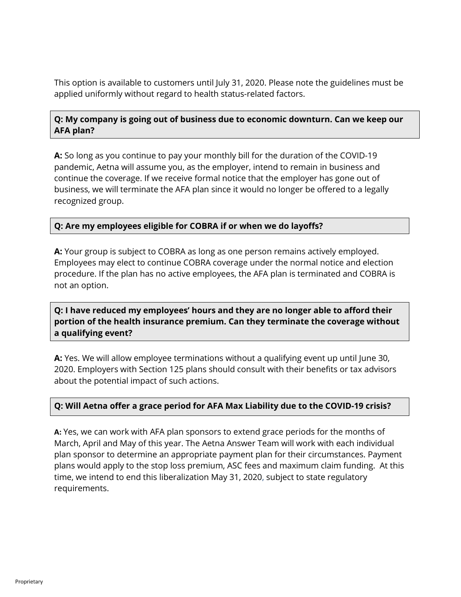This option is available to customers until July 31, 2020. Please note the guidelines must be applied uniformly without regard to health status-related factors.

# **Q: My company is going out of business due to economic downturn. Can we keep our AFA plan?**

**A:** So long as you continue to pay your monthly bill for the duration of the COVID-19 pandemic, Aetna will assume you, as the employer, intend to remain in business and continue the coverage. If we receive formal notice that the employer has gone out of business, we will terminate the AFA plan since it would no longer be offered to a legally recognized group.

### **Q: Are my employees eligible for COBRA if or when we do layoffs?**

**A:** Your group is subject to COBRA as long as one person remains actively employed. Employees may elect to continue COBRA coverage under the normal notice and election procedure. If the plan has no active employees, the AFA plan is terminated and COBRA is not an option.

**Q: I have reduced my employees' hours and they are no longer able to afford their portion of the health insurance premium. Can they terminate the coverage without a qualifying event?**

**A:** Yes. We will allow employee terminations without a qualifying event up until June 30, 2020. Employers with Section 125 plans should consult with their benefits or tax advisors about the potential impact of such actions.

#### **Q: Will Aetna offer a grace period for AFA Max Liability due to the COVID-19 crisis?**

**A:** Yes, we can work with AFA plan sponsors to extend grace periods for the months of March, April and May of this year. The Aetna Answer Team will work with each individual plan sponsor to determine an appropriate payment plan for their circumstances. Payment plans would apply to the stop loss premium, ASC fees and maximum claim funding. At this time, we intend to end this liberalization May 31, 2020, subject to state regulatory requirements.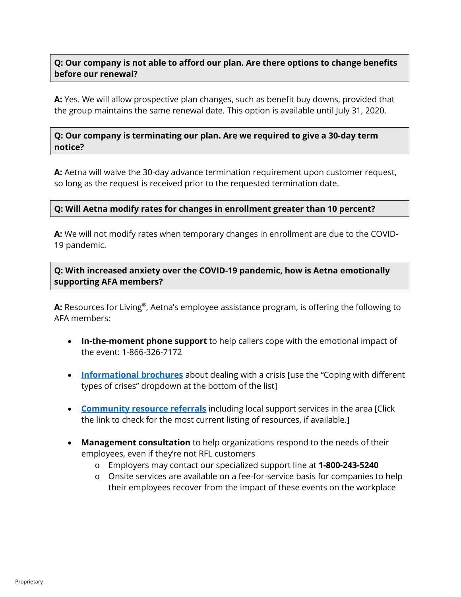### **Q: Our company is not able to afford our plan. Are there options to change benefits before our renewal?**

**A:** Yes. We will allow prospective plan changes, such as benefit buy downs, provided that the group maintains the same renewal date. This option is available until July 31, 2020.

#### **Q: Our company is terminating our plan. Are we required to give a 30-day term notice?**

**A:** Aetna will waive the 30-day advance termination requirement upon customer request, so long as the request is received prior to the requested termination date.

### **Q: Will Aetna modify rates for changes in enrollment greater than 10 percent?**

**A:** We will not modify rates when temporary changes in enrollment are due to the COVID-19 pandemic.

# **Q: With increased anxiety over the COVID-19 pandemic, how is Aetna emotionally supporting AFA members?**

**A:** Resources for Living®, Aetna's employee assistance program, is offering the following to AFA members:

- **In-the-moment phone support** to help callers cope with the emotional impact of the event: 1-866-326-7172
- **[Informational brochures](https://www.aetna.com/employers-organizations/crisis-response-resources.html)** about dealing with a crisis [use the "Coping with different types of crises" dropdown at the bottom of the list]
- **[Community resource referrals](https://www.resourcesforliving.com/media/pdf/Current-National-Events/CoronavirusResources.pdf)** including local support services in the area [Click the link to check for the most current listing of resources, if available.]
- **Management consultation** to help organizations respond to the needs of their employees, even if they're not RFL customers
	- o Employers may contact our specialized support line at **1-800-243-5240**
	- o Onsite services are available on a fee-for-service basis for companies to help their employees recover from the impact of these events on the workplace